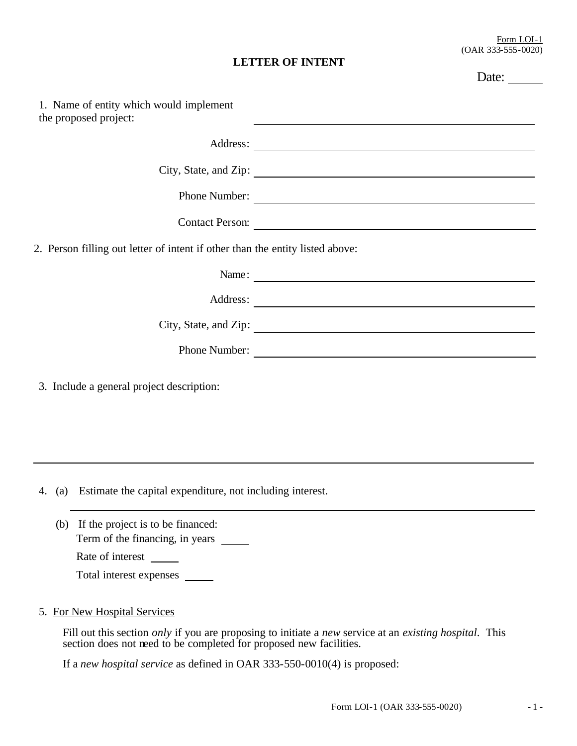Date:

## **LETTER OF INTENT**

| 1. Name of entity which would implement<br>the proposed project:              | <u> 1990 - Johann Stoff, amerikansk politiker (d. 1980)</u>                                                                                                                                                                    |
|-------------------------------------------------------------------------------|--------------------------------------------------------------------------------------------------------------------------------------------------------------------------------------------------------------------------------|
|                                                                               |                                                                                                                                                                                                                                |
|                                                                               | City, State, and Zip: 1988. The State of The State of The State of The State of The State of The State of The State of The State of The State of The State of The State of The State of The State of The State of The State of |
|                                                                               | Phone Number:                                                                                                                                                                                                                  |
|                                                                               | Contact Person:                                                                                                                                                                                                                |
| 2. Person filling out letter of intent if other than the entity listed above: |                                                                                                                                                                                                                                |
|                                                                               | Name:                                                                                                                                                                                                                          |
|                                                                               |                                                                                                                                                                                                                                |
|                                                                               | City, State, and Zip: 1988.                                                                                                                                                                                                    |
|                                                                               | Phone Number:                                                                                                                                                                                                                  |
| 3. Include a general project description:                                     |                                                                                                                                                                                                                                |

4. (a) Estimate the capital expenditure, not including interest.

- (b) If the project is to be financed: Term of the financing, in years \_\_\_\_\_\_\_\_ Rate of interest Total interest expenses
- 5. For New Hospital Services

Fill out this section *only* if you are proposing to initiate a *new* service at an *existing hospital*. This section does not need to be completed for proposed new facilities.

If a *new hospital service* as defined in OAR 333-550-0010(4) is proposed: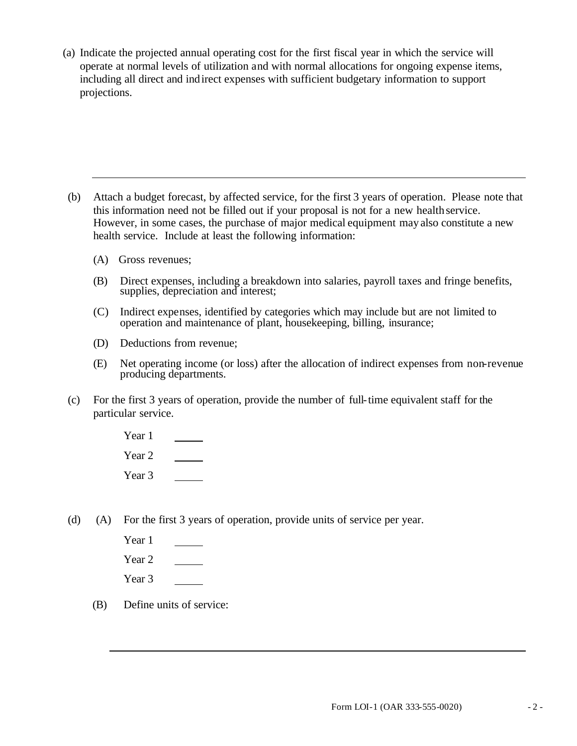(a) Indicate the projected annual operating cost for the first fiscal year in which the service will operate at normal levels of utilization and with normal allocations for ongoing expense items, including all direct and indirect expenses with sufficient budgetary information to support projections.

- (b) Attach a budget forecast, by affected service, for the first 3 years of operation. Please note that this information need not be filled out if your proposal is not for a new health service. However, in some cases, the purchase of major medical equipment may also constitute a new health service. Include at least the following information:
	- (A) Gross revenues;
	- (B) Direct expenses, including a breakdown into salaries, payroll taxes and fringe benefits, supplies, depreciation and interest;
	- (C) Indirect expenses, identified by categories which may include but are not limited to operation and maintenance of plant, housekeeping, billing, insurance;
	- (D) Deductions from revenue;
	- (E) Net operating income (or loss) after the allocation of indirect expenses from non-revenue producing departments.
- (c) For the first 3 years of operation, provide the number of full-time equivalent staff for the particular service.
	- Year 1 Year 2 Year 3
- (d) (A) For the first 3 years of operation, provide units of service per year.
	- Year 1 Year 2 Year 3
	- (B) Define units of service: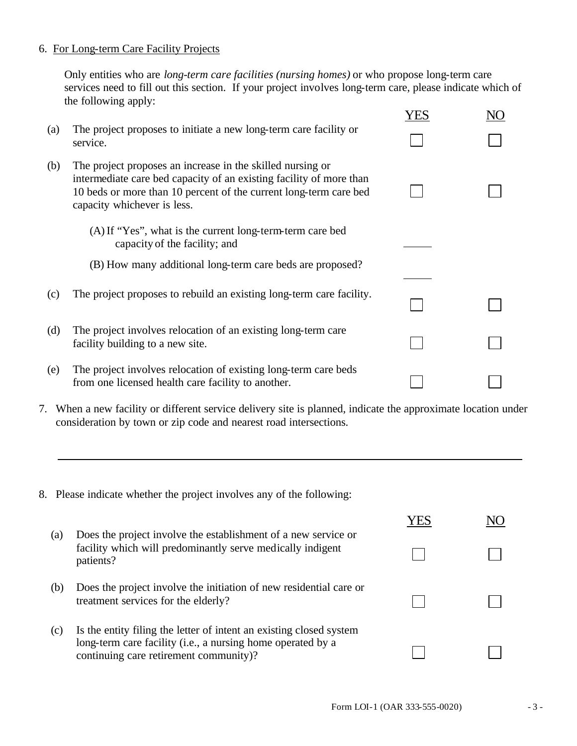## 6. For Long-term Care Facility Projects

Only entities who are *long-term care facilities (nursing homes)* or who propose long-term care services need to fill out this section. If your project involves long-term care, please indicate which of the following apply:

|     |                                                                                                                                                                                                                                       | YES |  |
|-----|---------------------------------------------------------------------------------------------------------------------------------------------------------------------------------------------------------------------------------------|-----|--|
| (a) | The project proposes to initiate a new long-term care facility or<br>service.                                                                                                                                                         |     |  |
| (b) | The project proposes an increase in the skilled nursing or<br>intermediate care bed capacity of an existing facility of more than<br>10 beds or more than 10 percent of the current long-term care bed<br>capacity whichever is less. |     |  |
|     | (A) If "Yes", what is the current long-term-term care bed<br>capacity of the facility; and                                                                                                                                            |     |  |
|     | (B) How many additional long-term care beds are proposed?                                                                                                                                                                             |     |  |
| (c) | The project proposes to rebuild an existing long-term care facility.                                                                                                                                                                  |     |  |
| (d) | The project involves relocation of an existing long-term care<br>facility building to a new site.                                                                                                                                     |     |  |
| (e) | The project involves relocation of existing long-term care beds<br>from one licensed health care facility to another.                                                                                                                 |     |  |

- 7. When a new facility or different service delivery site is planned, indicate the approximate location under consideration by town or zip code and nearest road intersections.
- 8. Please indicate whether the project involves any of the following:

|     |                                                                                                                                                                              | E. |  |
|-----|------------------------------------------------------------------------------------------------------------------------------------------------------------------------------|----|--|
| (a) | Does the project involve the establishment of a new service or<br>facility which will predominantly serve medically indigent<br>patients?                                    |    |  |
| (b) | Does the project involve the initiation of new residential care or<br>treatment services for the elderly?                                                                    |    |  |
| (c) | Is the entity filing the letter of intent an existing closed system<br>long-term care facility (i.e., a nursing home operated by a<br>continuing care retirement community)? |    |  |